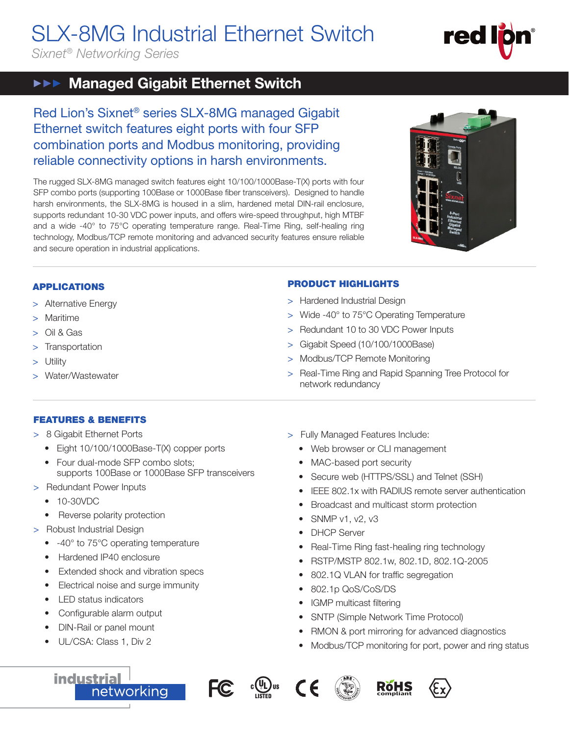# SLX-8MG Industrial Ethernet Switch

*Sixnet® Networking Series*

# red

#### Managed Gigabit Ethernet Switch  $\blacktriangleright \blacktriangleright \blacktriangleright$

Red Lion's Sixnet® series SLX-8MG managed Gigabit Ethernet switch features eight ports with four SFP combination ports and Modbus monitoring, providing reliable connectivity options in harsh environments.

The rugged SLX-8MG managed switch features eight 10/100/1000Base-T(X) ports with four SFP combo ports (supporting 100Base or 1000Base fiber transceivers). Designed to handle harsh environments, the SLX-8MG is housed in a slim, hardened metal DIN-rail enclosure, supports redundant 10-30 VDC power inputs, and offers wire-speed throughput, high MTBF and a wide -40° to 75°C operating temperature range. Real-Time Ring, self-healing ring technology, Modbus/TCP remote monitoring and advanced security features ensure reliable and secure operation in industrial applications.



# APPLICATIONS

- > Alternative Energy
- > Maritime
- > Oil & Gas
- > Transportation
- > Utility
- > Water/Wastewater

# PRODUCT HIGHLIGHTS

- > Hardened Industrial Design
- > Wide -40° to 75°C Operating Temperature
- > Redundant 10 to 30 VDC Power Inputs
- > Gigabit Speed (10/100/1000Base)
- > Modbus/TCP Remote Monitoring
- > Real-Time Ring and Rapid Spanning Tree Protocol for network redundancy

# FEATURES & BENEFITS

- > 8 Gigabit Ethernet Ports
	- Eight 10/100/1000Base-T(X) copper ports
	- Four dual-mode SFP combo slots; supports 100Base or 1000Base SFP transceivers
- > Redundant Power Inputs
	- 10-30VDC
	- Reverse polarity protection
- > Robust Industrial Design
	- -40° to 75°C operating temperature
	- Hardened IP40 enclosure
	- Extended shock and vibration specs
	- Electrical noise and surge immunity

networking

- LED status indicators
- Configurable alarm output
- DIN-Rail or panel mount
- UL/CSA: Class 1, Div 2

**industrial** 

- > Fully Managed Features Include:
	- Web browser or CLI management
	- MAC-based port security
	- Secure web (HTTPS/SSL) and Telnet (SSH)
	- IEEE 802.1x with RADIUS remote server authentication
	- Broadcast and multicast storm protection
	- SNMP v1, v2, v3
	- DHCP Server
	- Real-Time Ring fast-healing ring technology
	- RSTP/MSTP 802.1w, 802.1D, 802.1Q-2005
	- 802.1Q VLAN for traffic segregation
	- 802.1p QoS/CoS/DS
	- IGMP multicast filtering
	- SNTP (Simple Network Time Protocol)
	- RMON & port mirroring for advanced diagnostics
	- Modbus/TCP monitoring for port, power and ring status









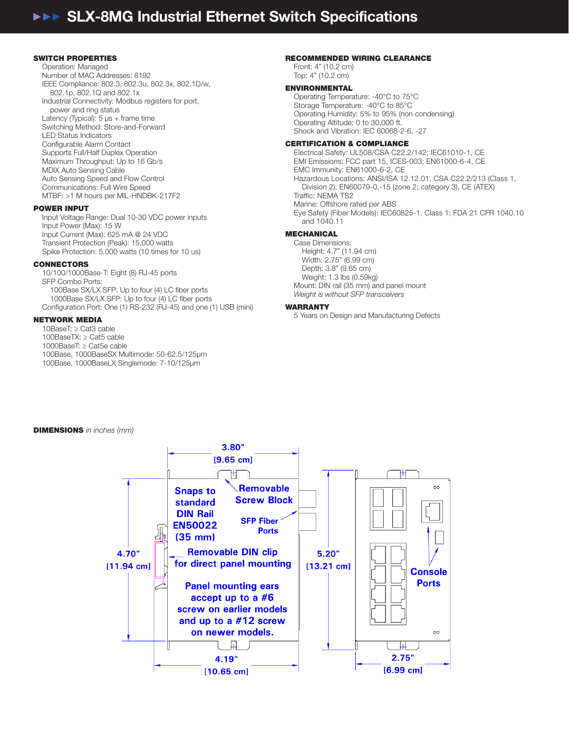#### SWITCH PROPERTIES

Operation: Managed Number of MAC Addresses: 8192 IEEE Compliance: 802.3, 802.3u, 802.3x, 802.1D/w, 802.1p, 802.1Q and 802.1x Industrial Connectivity: Modbus registers for port, power and ring status Latency (Typical): 5 μs + frame time Switching Method: Store-and-Forward LED Status Indicators Configurable Alarm Contact Supports Full/Half Duplex Operation Maximum Throughput: Up to 16 Gb/s MDIX Auto Sensing Cable Auto Sensing Speed and Flow Control Communications: Full Wire Speed MTBF: >1 M hours per MIL-HNDBK-217F2

#### POWER INPUT

Input Voltage Range: Dual 10-30 VDC power inputs Input Power (Max): 15 W Input Current (Max): 625 mA @ 24 VDC Transient Protection (Peak): 15,000 watts Spike Protection: 5,000 watts (10 times for 10 us)

#### CONNECTORS

10/100/1000Base-T: Eight (8) RJ-45 ports SFP Combo Ports: 100Base SX/LX SFP: Up to four (4) LC fiber ports 1000Base SX/LX SFP: Up to four (4) LC fiber ports Configuration Port: One (1) RS-232 (RJ-45) and one (1) USB (mini)

#### NETWORK MEDIA

10BaseT: ≥ Cat3 cable

100BaseTX: ≥ Cat5 cable

1000BaseT: ≥ Cat5e cable

- 100Base, 1000BaseSX Multimode: 50-62.5/125μm
- 100Base, 1000BaseLX Singlemode: 7-10/125μm

#### RECOMMENDED WIRING CLEARANCE

Front: 4" (10.2 cm) Top: 4" (10.2 cm)

#### ENVIRONMENTAL

Operating Temperature: -40°C to 75°C Storage Temperature: -40°C to 85°C Operating Humidity: 5% to 95% (non condensing) Operating Altitude: 0 to 30,000 ft. Shock and Vibration: IEC 60068-2-6, -27

#### CERTIFICATION & COMPLIANCE

Electrical Safety: UL508/CSA C22.2/142; IEC61010-1, CE EMI Emissions: FCC part 15, ICES-003; EN61000-6-4, CE EMC Immunity: EN61000-6-2, CE Hazardous Locations: ANSI/ISA 12.12.01, CSA C22.2/213 (Class 1, Division 2); EN60079-0,-15 (zone 2; category 3), CE (ATEX) Traffic: NEMA TS2 Marine: Offshore rated per ABS Eye Safety (Fiber Models): IEC60825-1, Class 1; FDA 21 CFR 1040.10 and 1040.11

### MECHANICAL

Case Dimensions: Height: 4.7" (11.94 cm) Width: 2.75" (6.99 cm) Depth: 3.8" (9.65 cm) Weight: 1.3 lbs (0.59kg) Mount: DIN rail (35 mm) and panel mount *Weight is without SFP transceivers* 

#### WARRANTY

5 Years on Design and Manufacturing Defects

#### DIMENSIONS *in inches (mm)*